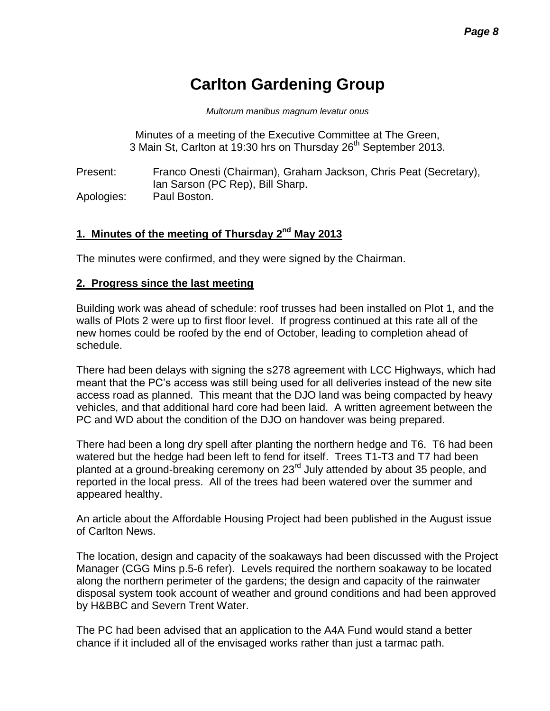# **Carlton Gardening Group**

*Multorum manibus magnum levatur onus*

Minutes of a meeting of the Executive Committee at The Green, 3 Main St, Carlton at 19:30 hrs on Thursday 26<sup>th</sup> September 2013.

Present: Franco Onesti (Chairman), Graham Jackson, Chris Peat (Secretary), Ian Sarson (PC Rep), Bill Sharp. Apologies: Paul Boston.

## 1. Minutes of the meeting of Thursday 2<sup>nd</sup> May 2013

The minutes were confirmed, and they were signed by the Chairman.

#### **2. Progress since the last meeting**

Building work was ahead of schedule: roof trusses had been installed on Plot 1, and the walls of Plots 2 were up to first floor level. If progress continued at this rate all of the new homes could be roofed by the end of October, leading to completion ahead of schedule.

There had been delays with signing the s278 agreement with LCC Highways, which had meant that the PC's access was still being used for all deliveries instead of the new site access road as planned. This meant that the DJO land was being compacted by heavy vehicles, and that additional hard core had been laid. A written agreement between the PC and WD about the condition of the DJO on handover was being prepared.

There had been a long dry spell after planting the northern hedge and T6. T6 had been watered but the hedge had been left to fend for itself. Trees T1-T3 and T7 had been planted at a ground-breaking ceremony on 23rd July attended by about 35 people, and reported in the local press. All of the trees had been watered over the summer and appeared healthy.

An article about the Affordable Housing Project had been published in the August issue of Carlton News.

The location, design and capacity of the soakaways had been discussed with the Project Manager (CGG Mins p.5-6 refer). Levels required the northern soakaway to be located along the northern perimeter of the gardens; the design and capacity of the rainwater disposal system took account of weather and ground conditions and had been approved by H&BBC and Severn Trent Water.

The PC had been advised that an application to the A4A Fund would stand a better chance if it included all of the envisaged works rather than just a tarmac path.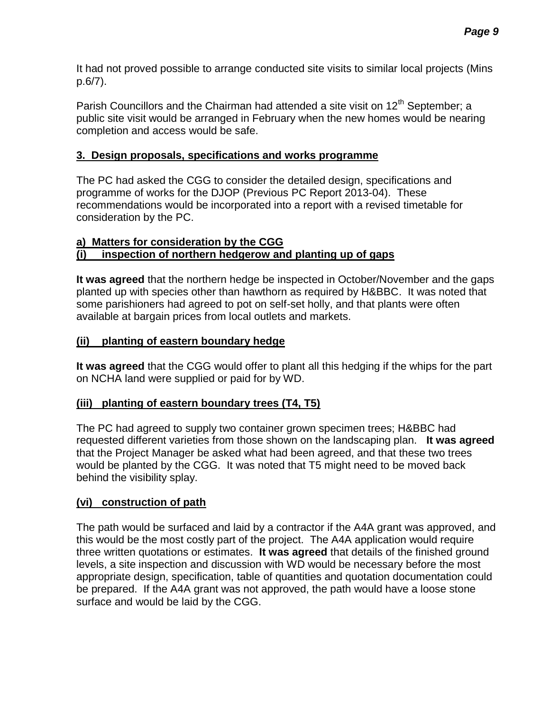It had not proved possible to arrange conducted site visits to similar local projects (Mins p.6/7).

Parish Councillors and the Chairman had attended a site visit on  $12<sup>th</sup>$  September; a public site visit would be arranged in February when the new homes would be nearing completion and access would be safe.

#### **3. Design proposals, specifications and works programme**

The PC had asked the CGG to consider the detailed design, specifications and programme of works for the DJOP (Previous PC Report 2013-04). These recommendations would be incorporated into a report with a revised timetable for consideration by the PC.

#### **a) Matters for consideration by the CGG (i) inspection of northern hedgerow and planting up of gaps**

**It was agreed** that the northern hedge be inspected in October/November and the gaps planted up with species other than hawthorn as required by H&BBC. It was noted that some parishioners had agreed to pot on self-set holly, and that plants were often available at bargain prices from local outlets and markets.

## **(ii) planting of eastern boundary hedge**

**It was agreed** that the CGG would offer to plant all this hedging if the whips for the part on NCHA land were supplied or paid for by WD.

## **(iii) planting of eastern boundary trees (T4, T5)**

The PC had agreed to supply two container grown specimen trees; H&BBC had requested different varieties from those shown on the landscaping plan. **It was agreed** that the Project Manager be asked what had been agreed, and that these two trees would be planted by the CGG. It was noted that T5 might need to be moved back behind the visibility splay.

## **(vi) construction of path**

The path would be surfaced and laid by a contractor if the A4A grant was approved, and this would be the most costly part of the project. The A4A application would require three written quotations or estimates. **It was agreed** that details of the finished ground levels, a site inspection and discussion with WD would be necessary before the most appropriate design, specification, table of quantities and quotation documentation could be prepared. If the A4A grant was not approved, the path would have a loose stone surface and would be laid by the CGG.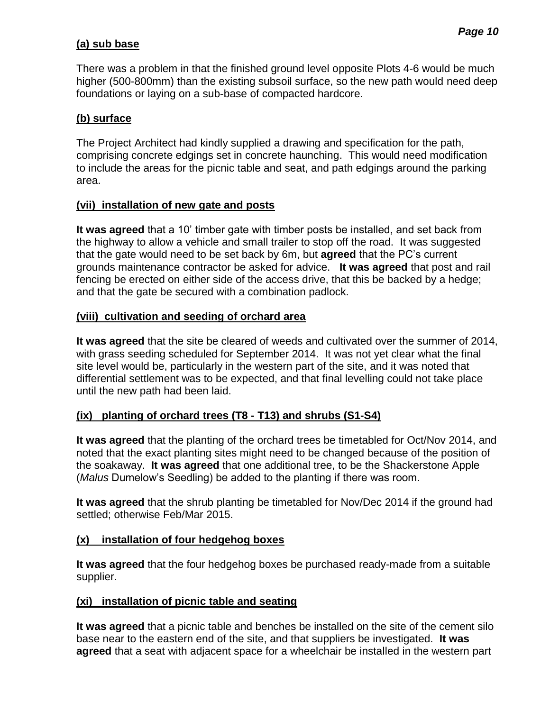## **(a) sub base**

There was a problem in that the finished ground level opposite Plots 4-6 would be much higher (500-800mm) than the existing subsoil surface, so the new path would need deep foundations or laying on a sub-base of compacted hardcore.

#### **(b) surface**

The Project Architect had kindly supplied a drawing and specification for the path, comprising concrete edgings set in concrete haunching. This would need modification to include the areas for the picnic table and seat, and path edgings around the parking area.

#### **(vii) installation of new gate and posts**

**It was agreed** that a 10' timber gate with timber posts be installed, and set back from the highway to allow a vehicle and small trailer to stop off the road. It was suggested that the gate would need to be set back by 6m, but **agreed** that the PC's current grounds maintenance contractor be asked for advice. **It was agreed** that post and rail fencing be erected on either side of the access drive, that this be backed by a hedge; and that the gate be secured with a combination padlock.

#### **(viii) cultivation and seeding of orchard area**

**It was agreed** that the site be cleared of weeds and cultivated over the summer of 2014, with grass seeding scheduled for September 2014. It was not yet clear what the final site level would be, particularly in the western part of the site, and it was noted that differential settlement was to be expected, and that final levelling could not take place until the new path had been laid.

## **(ix) planting of orchard trees (T8 - T13) and shrubs (S1-S4)**

**It was agreed** that the planting of the orchard trees be timetabled for Oct/Nov 2014, and noted that the exact planting sites might need to be changed because of the position of the soakaway. **It was agreed** that one additional tree, to be the Shackerstone Apple (*Malus* Dumelow's Seedling) be added to the planting if there was room.

**It was agreed** that the shrub planting be timetabled for Nov/Dec 2014 if the ground had settled; otherwise Feb/Mar 2015.

#### **(x) installation of four hedgehog boxes**

**It was agreed** that the four hedgehog boxes be purchased ready-made from a suitable supplier.

## **(xi) installation of picnic table and seating**

**It was agreed** that a picnic table and benches be installed on the site of the cement silo base near to the eastern end of the site, and that suppliers be investigated. **It was agreed** that a seat with adjacent space for a wheelchair be installed in the western part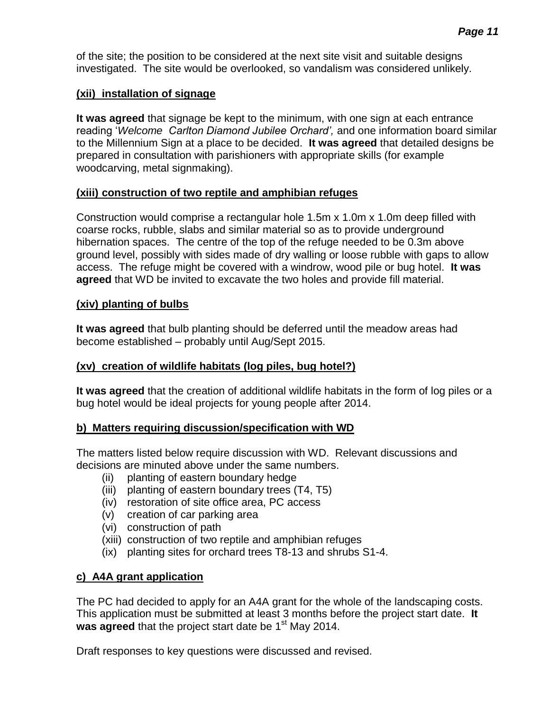of the site; the position to be considered at the next site visit and suitable designs investigated. The site would be overlooked, so vandalism was considered unlikely.

## **(xii) installation of signage**

**It was agreed** that signage be kept to the minimum, with one sign at each entrance reading '*Welcome Carlton Diamond Jubilee Orchard',* and one information board similar to the Millennium Sign at a place to be decided. **It was agreed** that detailed designs be prepared in consultation with parishioners with appropriate skills (for example woodcarving, metal signmaking).

## **(xiii) construction of two reptile and amphibian refuges**

Construction would comprise a rectangular hole 1.5m x 1.0m x 1.0m deep filled with coarse rocks, rubble, slabs and similar material so as to provide underground hibernation spaces. The centre of the top of the refuge needed to be 0.3m above ground level, possibly with sides made of dry walling or loose rubble with gaps to allow access. The refuge might be covered with a windrow, wood pile or bug hotel. **It was agreed** that WD be invited to excavate the two holes and provide fill material.

# **(xiv) planting of bulbs**

**It was agreed** that bulb planting should be deferred until the meadow areas had become established – probably until Aug/Sept 2015.

# **(xv) creation of wildlife habitats (log piles, bug hotel?)**

**It was agreed** that the creation of additional wildlife habitats in the form of log piles or a bug hotel would be ideal projects for young people after 2014.

# **b) Matters requiring discussion/specification with WD**

The matters listed below require discussion with WD. Relevant discussions and decisions are minuted above under the same numbers.

- (ii) planting of eastern boundary hedge
- (iii) planting of eastern boundary trees (T4, T5)
- (iv) restoration of site office area, PC access
- (v) creation of car parking area
- (vi) construction of path
- (xiii) construction of two reptile and amphibian refuges
- (ix) planting sites for orchard trees T8-13 and shrubs S1-4.

# **c) A4A grant application**

The PC had decided to apply for an A4A grant for the whole of the landscaping costs. This application must be submitted at least 3 months before the project start date. **It**  was agreed that the project start date be 1<sup>st</sup> May 2014.

Draft responses to key questions were discussed and revised.